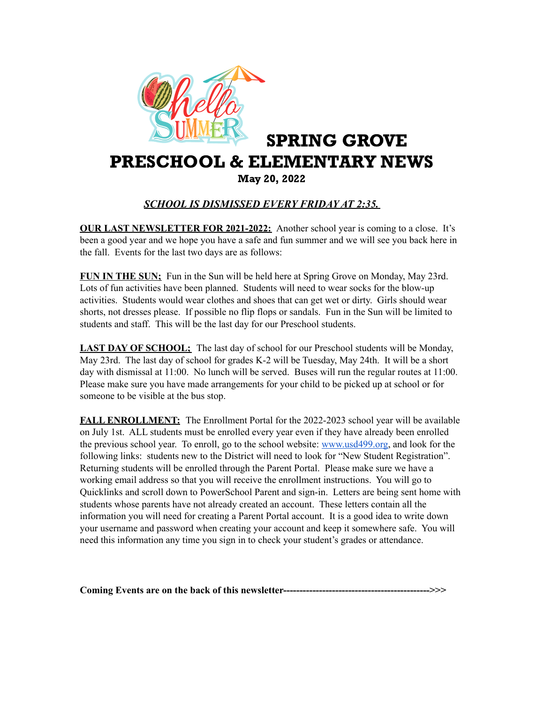

## SPRING GROVE PRESCHOOL & ELEMENTARY NEWS

## May 20, 2022

## *SCHOOL IS DISMISSED EVERY FRIDAY AT 2:35.*

**OUR LAST NEWSLETTER FOR 2021-2022:** Another school year is coming to a close. It's been a good year and we hope you have a safe and fun summer and we will see you back here in the fall. Events for the last two days are as follows:

**FUN IN THE SUN;** Fun in the Sun will be held here at Spring Grove on Monday, May 23rd. Lots of fun activities have been planned. Students will need to wear socks for the blow-up activities. Students would wear clothes and shoes that can get wet or dirty. Girls should wear shorts, not dresses please. If possible no flip flops or sandals. Fun in the Sun will be limited to students and staff. This will be the last day for our Preschool students.

**LAST DAY OF SCHOOL;** The last day of school for our Preschool students will be Monday, May 23rd. The last day of school for grades K-2 will be Tuesday, May 24th. It will be a short day with dismissal at 11:00. No lunch will be served. Buses will run the regular routes at 11:00. Please make sure you have made arrangements for your child to be picked up at school or for someone to be visible at the bus stop.

**FALL ENROLLMENT:** The Enrollment Portal for the 2022-2023 school year will be available on July 1st. ALL students must be enrolled every year even if they have already been enrolled the previous school year. To enroll, go to the school website: [www.usd499.org,](http://www.usd499.org) and look for the following links: students new to the District will need to look for "New Student Registration". Returning students will be enrolled through the Parent Portal. Please make sure we have a working email address so that you will receive the enrollment instructions. You will go to Quicklinks and scroll down to PowerSchool Parent and sign-in. Letters are being sent home with students whose parents have not already created an account. These letters contain all the information you will need for creating a Parent Portal account. It is a good idea to write down your username and password when creating your account and keep it somewhere safe. You will need this information any time you sign in to check your student's grades or attendance.

**Coming Events are on the back of this newsletter--------------------------------------------->>>**